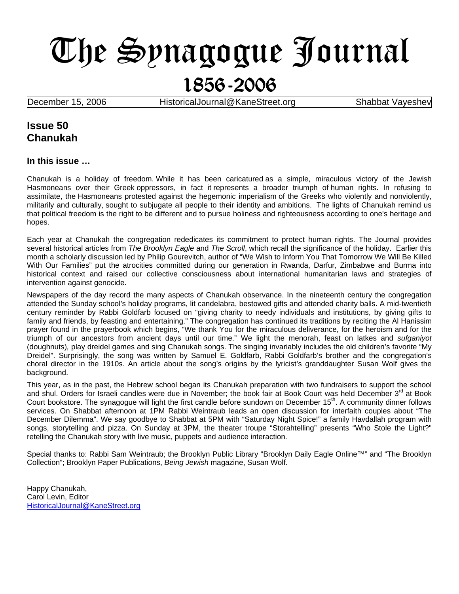# The Synagogue Journal 1856-2006

**December 15, 2006 HistoricalJournal@KaneStreet.org Shabbat Vayeshev** 

## **Issue 50 Chanukah**

#### **In this issue …**

Chanukah is a holiday of freedom. While it has been caricatured as a simple, miraculous victory of the Jewish Hasmoneans over their Greek oppressors, in fact it represents a broader triumph of human rights. In refusing to assimilate, the Hasmoneans protested against the hegemonic imperialism of the Greeks who violently and nonviolently, militarily and culturally, sought to subjugate all people to their identity and ambitions. The lights of Chanukah remind us that political freedom is the right to be different and to pursue holiness and righteousness according to one's heritage and hopes.

Each year at Chanukah the congregation rededicates its commitment to protect human rights. The Journal provides several historical articles from *The Brooklyn Eagle* and *The Scroll*, which recall the significance of the holiday. Earlier this month a scholarly discussion led by Philip Gourevitch, author of "We Wish to Inform You That Tomorrow We Will Be Killed With Our Families" put the atrocities committed during our generation in Rwanda, Darfur, Zimbabwe and Burma into historical context and raised our collective consciousness about international humanitarian laws and strategies of intervention against genocide.

Newspapers of the day record the many aspects of Chanukah observance. In the nineteenth century the congregation attended the Sunday school's holiday programs, lit candelabra, bestowed gifts and attended charity balls. A mid-twentieth century reminder by Rabbi Goldfarb focused on "giving charity to needy individuals and institutions, by giving gifts to family and friends, by feasting and entertaining." The congregation has continued its traditions by reciting the Al Hanissim prayer found in the prayerbook which begins, "We thank You for the miraculous deliverance, for the heroism and for the triumph of our ancestors from ancient days until our time." We light the menorah, feast on latkes and *sufganiyot*  (doughnuts)*,* play dreidel games and sing Chanukah songs. The singing invariably includes the old children's favorite "My Dreidel". Surprisingly, the song was written by Samuel E. Goldfarb, Rabbi Goldfarb's brother and the congregation's choral director in the 1910s. An article about the song's origins by the lyricist's granddaughter Susan Wolf gives the background.

This year, as in the past, the Hebrew school began its Chanukah preparation with two fundraisers to support the school and shul. Orders for Israeli candles were due in November; the book fair at Book Court was held December 3<sup>rd</sup> at Book Court bookstore. The synagogue will light the first candle before sundown on December 15<sup>th</sup>. A community dinner follows services. On Shabbat afternoon at 1PM Rabbi Weintraub leads an open discussion for interfaith couples about "The December Dilemma". We say goodbye to Shabbat at 5PM with "Saturday Night Spice!" a family Havdallah program with songs, storytelling and pizza. On Sunday at 3PM, the theater troupe "Storahtelling" presents "Who Stole the Light?" retelling the Chanukah story with live music, puppets and audience interaction.

Special thanks to: Rabbi Sam Weintraub; the Brooklyn Public Library "Brooklyn Daily Eagle Online™" and "The Brooklyn Collection"; Brooklyn Paper Publications, *Being Jewish* magazine, Susan Wolf.

Happy Chanukah, Carol Levin, Editor [HistoricalJournal@KaneStreet.org](mailto:HistoricalJournal@KaneStreet.org)